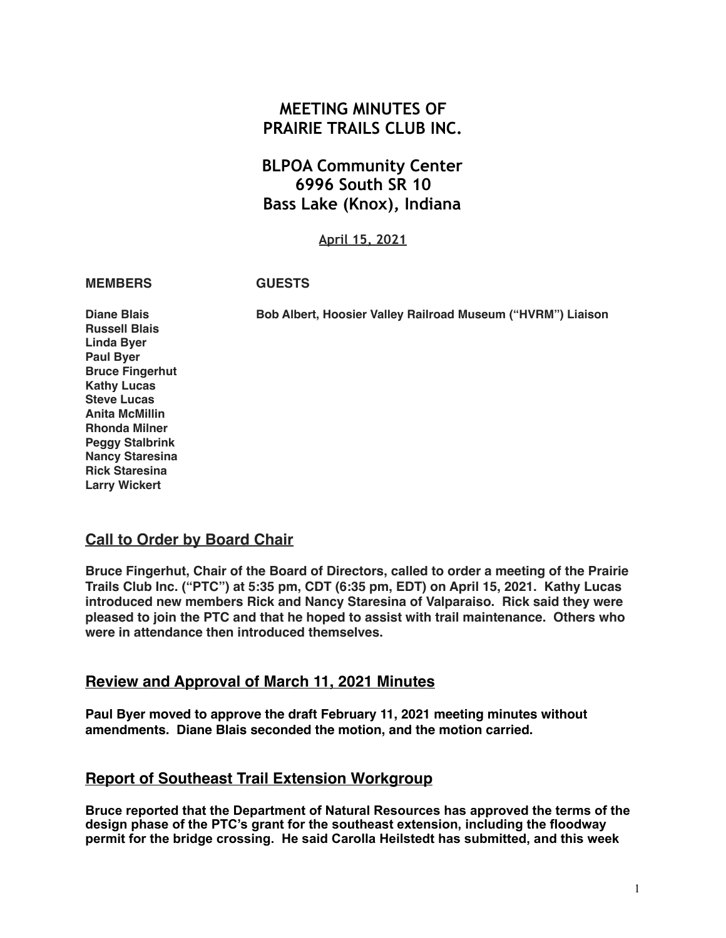# **MEETING MINUTES OF PRAIRIE TRAILS CLUB INC.**

# **BLPOA Community Center 6996 South SR 10 Bass Lake (Knox), Indiana**

**April 15, 2021**

**MEMBERS GUESTS**

**Diane Blais Bob Albert, Hoosier Valley Railroad Museum ("HVRM") Liaison**

**Russell Blais Linda Byer Paul Byer Bruce Fingerhut Kathy Lucas Steve Lucas Anita McMillin Rhonda Milner Peggy Stalbrink Nancy Staresina Rick Staresina Larry Wickert**

## **Call to Order by Board Chair**

**Bruce Fingerhut, Chair of the Board of Directors, called to order a meeting of the Prairie Trails Club Inc. ("PTC") at 5:35 pm, CDT (6:35 pm, EDT) on April 15, 2021. Kathy Lucas introduced new members Rick and Nancy Staresina of Valparaiso. Rick said they were pleased to join the PTC and that he hoped to assist with trail maintenance. Others who were in attendance then introduced themselves.**

## **Review and Approval of March 11, 2021 Minutes**

**Paul Byer moved to approve the draft February 11, 2021 meeting minutes without amendments. Diane Blais seconded the motion, and the motion carried.**

## **Report of Southeast Trail Extension Workgroup**

**Bruce reported that the Department of Natural Resources has approved the terms of the design phase of the PTC's grant for the southeast extension, including the floodway permit for the bridge crossing. He said Carolla Heilstedt has submitted, and this week**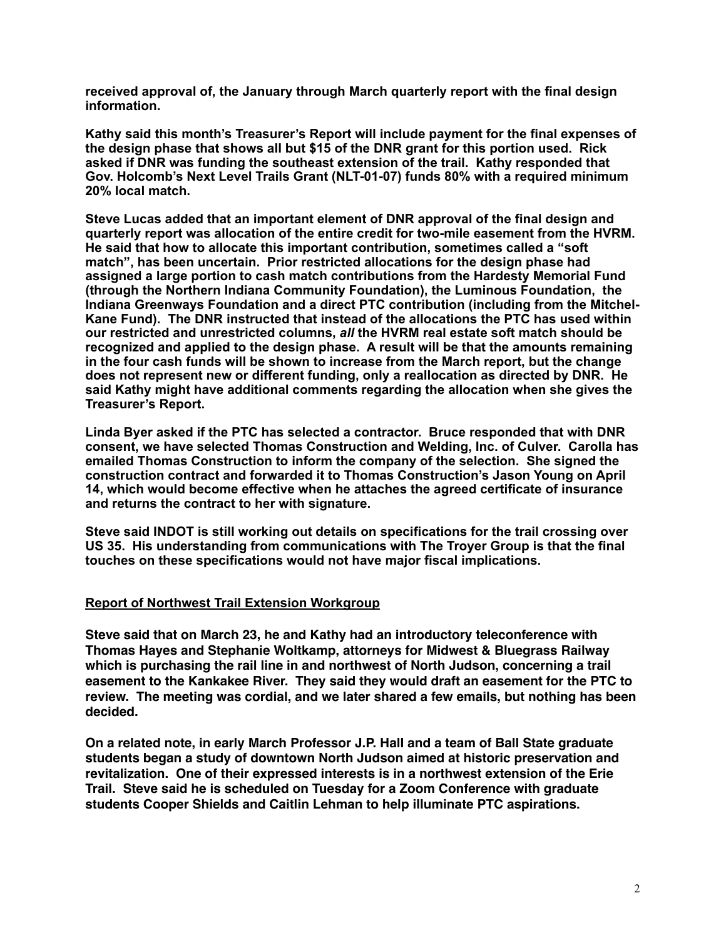**received approval of, the January through March quarterly report with the final design information.** 

**Kathy said this month's Treasurer's Report will include payment for the final expenses of the design phase that shows all but \$15 of the DNR grant for this portion used. Rick asked if DNR was funding the southeast extension of the trail. Kathy responded that Gov. Holcomb's Next Level Trails Grant (NLT-01-07) funds 80% with a required minimum 20% local match.** 

**Steve Lucas added that an important element of DNR approval of the final design and quarterly report was allocation of the entire credit for two-mile easement from the HVRM. He said that how to allocate this important contribution, sometimes called a "soft match", has been uncertain. Prior restricted allocations for the design phase had assigned a large portion to cash match contributions from the Hardesty Memorial Fund (through the Northern Indiana Community Foundation), the Luminous Foundation, the Indiana Greenways Foundation and a direct PTC contribution (including from the Mitchel-Kane Fund). The DNR instructed that instead of the allocations the PTC has used within our restricted and unrestricted columns,** *all* **the HVRM real estate soft match should be recognized and applied to the design phase. A result will be that the amounts remaining in the four cash funds will be shown to increase from the March report, but the change does not represent new or different funding, only a reallocation as directed by DNR. He said Kathy might have additional comments regarding the allocation when she gives the Treasurer's Report.** 

**Linda Byer asked if the PTC has selected a contractor. Bruce responded that with DNR consent, we have selected Thomas Construction and Welding, Inc. of Culver. Carolla has emailed Thomas Construction to inform the company of the selection. She signed the construction contract and forwarded it to Thomas Construction's Jason Young on April 14, which would become effective when he attaches the agreed certificate of insurance and returns the contract to her with signature.** 

**Steve said INDOT is still working out details on specifications for the trail crossing over US 35. His understanding from communications with The Troyer Group is that the final touches on these specifications would not have major fiscal implications.** 

#### **Report of Northwest Trail Extension Workgroup**

**Steve said that on March 23, he and Kathy had an introductory teleconference with Thomas Hayes and Stephanie Woltkamp, attorneys for Midwest & Bluegrass Railway which is purchasing the rail line in and northwest of North Judson, concerning a trail easement to the Kankakee River. They said they would draft an easement for the PTC to review. The meeting was cordial, and we later shared a few emails, but nothing has been decided.**

**On a related note, in early March Professor J.P. HalI and a team of Ball State graduate students began a study of downtown North Judson aimed at historic preservation and revitalization. One of their expressed interests is in a northwest extension of the Erie Trail. Steve said he is scheduled on Tuesday for a Zoom Conference with graduate students Cooper Shields and Caitlin Lehman to help illuminate PTC aspirations.**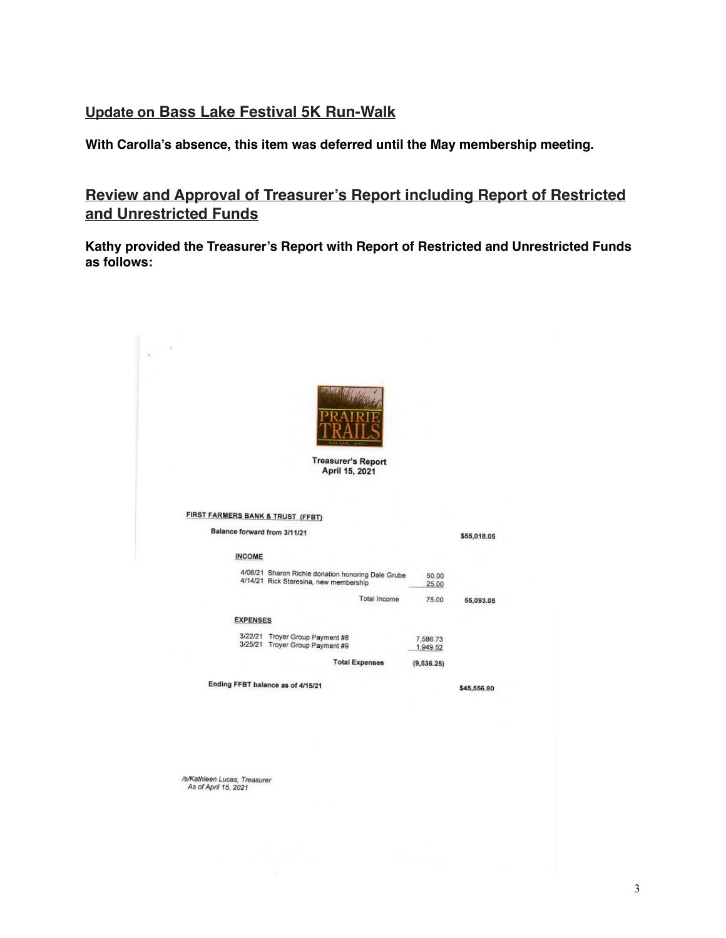#### **Update on Bass Lake Festival 5K Run-Walk**

**With Carolla's absence, this item was deferred until the May membership meeting.** 

**Review and Approval of Treasurer's Report including Report of Restricted and Unrestricted Funds**

**Kathy provided the Treasurer's Report with Report of Restricted and Unrestricted Funds as follows:**

|                                                                   | <b>Treasurer's Report</b><br>April 15, 2021                                                  |                      |             |
|-------------------------------------------------------------------|----------------------------------------------------------------------------------------------|----------------------|-------------|
| FIRST FARMERS BANK & TRUST (FFBT)<br>Balance forward from 3/11/21 |                                                                                              |                      | \$55,018.05 |
| <b>INCOME</b>                                                     |                                                                                              |                      |             |
|                                                                   | 4/06/21 Sharon Richie donation honoring Dale Grube<br>4/14/21 Rick Staresina, new membership | 50.00<br>25.00       |             |
|                                                                   | <b>Total Income</b>                                                                          | 75.00                | 55,093.05   |
| <b>EXPENSES</b>                                                   |                                                                                              |                      |             |
|                                                                   | 3/22/21 Troyer Group Payment #8<br>3/25/21 Troyer Group Payment #9                           | 7,586.73<br>1,949.52 |             |
|                                                                   | <b>Total Expenses</b>                                                                        | (9, 536.25)          |             |
|                                                                   | Ending FFBT balance as of 4/15/21                                                            |                      | \$45,556.80 |

/s/Kathleen Lucas, Treasurer<br>As of April 15, 2021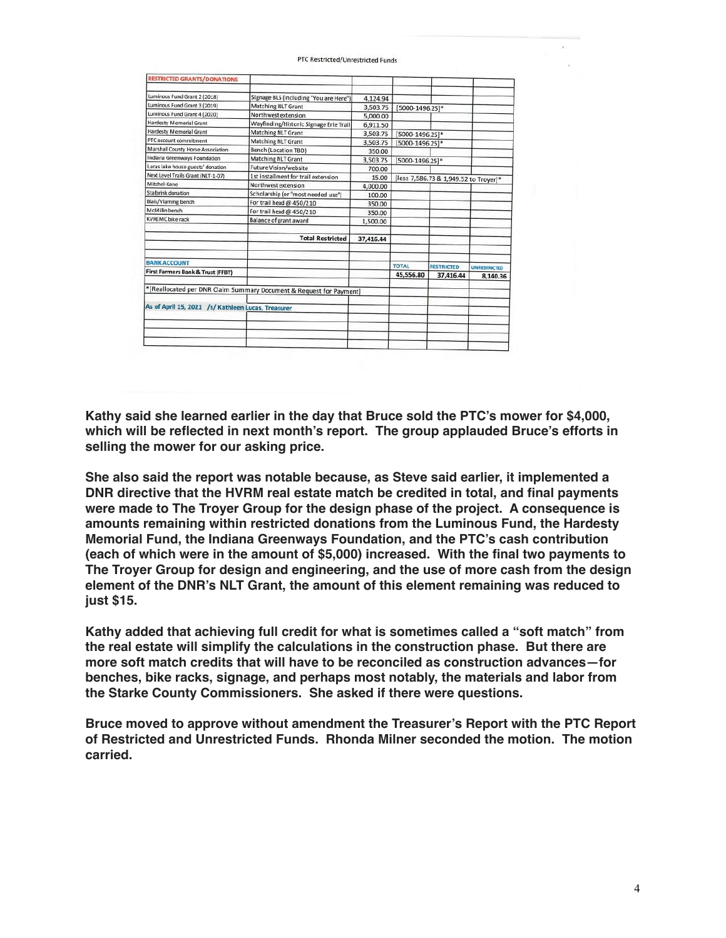| As of April 15, 2021 /s/ Kathleen Lucas, Treasurer           |                                                                     |                    |                                       |                   |                     |
|--------------------------------------------------------------|---------------------------------------------------------------------|--------------------|---------------------------------------|-------------------|---------------------|
|                                                              |                                                                     |                    |                                       |                   |                     |
|                                                              | *[Reallocated per DNR Claim Summary Document & Request for Payment] |                    |                                       |                   |                     |
|                                                              |                                                                     |                    | 45,556.80                             | 37,416.44         | 8,140.36            |
| First Farmers Bank & Trust (FFBT)                            |                                                                     |                    | <b>TOTAL</b>                          | <b>RESTRICTED</b> | <b>UNRESTRICTED</b> |
| <b>BANK ACCOUNT</b>                                          |                                                                     |                    |                                       |                   |                     |
|                                                              | <b>Total Restricted</b>                                             | 37,416.44          |                                       |                   |                     |
|                                                              |                                                                     |                    |                                       |                   |                     |
| <b>KVREMC</b> bike rack                                      | <b>Balance of grant award</b>                                       | 1,500.00           |                                       |                   |                     |
| McMillin bench                                               | For trail head @ 450/210                                            | 350.00             |                                       |                   |                     |
| Blais/Vlaming bench                                          | For trail head @ 450/210                                            | 350.00             |                                       |                   |                     |
| Stalbrink donation                                           | Scholarship (or "most needed use")                                  | 100.00             |                                       |                   |                     |
| Mitchel-Kane                                                 | Northwest extension                                                 | 4.000.00           | [less 7,586.73 & 1,949.52 to Troyer]* |                   |                     |
| Next Level Trails Grant (NLT-1-07)                           | 1st installment for trail extension                                 | 15.00              |                                       |                   |                     |
| Lucas lake house guests' donation                            | Future Vision/website                                               | 3,503.75<br>700.00 | [5000-1496.25]*                       |                   |                     |
| Indiana Greenways Foundation                                 | <b>Matching NLT Grant</b>                                           | 350.00             |                                       |                   |                     |
| Marshall County Horse Association                            | <b>Bench (Location TBD)</b>                                         | 3,503.75           | [5000-1496.25]*                       |                   |                     |
| PTC account commitment                                       | <b>Matching NLT Grant</b><br><b>Matching NLT Grant</b>              | 3,503.75           | [5000-1496.25]*                       |                   |                     |
| Hardesty Memorial Grant                                      | Wayfinding/Historic Signage Erie Trail                              | 6,911.50           |                                       |                   |                     |
| Hardesty Memorial Grant                                      | Northwest extension                                                 | 5,000.00           |                                       |                   |                     |
| Luminous Fund Grant 4 (2020)                                 | <b>Matching NLT Grant</b>                                           | 3,503.75           | [5000-1496.25]*                       |                   |                     |
| Luminous Fund Grant 2 (2018)<br>Luminous Fund Grant 3 (2019) | Signage BLS (including "You are Here")                              | 4,124.94           |                                       |                   |                     |
|                                                              |                                                                     |                    |                                       |                   |                     |

PTC Restricted/Unrestricted Funds

**Kathy said she learned earlier in the day that Bruce sold the PTC's mower for \$4,000, which will be reflected in next month's report. The group applauded Bruce's efforts in selling the mower for our asking price.**

**She also said the report was notable because, as Steve said earlier, it implemented a DNR directive that the HVRM real estate match be credited in total, and final payments were made to The Troyer Group for the design phase of the project. A consequence is amounts remaining within restricted donations from the Luminous Fund, the Hardesty Memorial Fund, the Indiana Greenways Foundation, and the PTC's cash contribution (each of which were in the amount of \$5,000) increased. With the final two payments to The Troyer Group for design and engineering, and the use of more cash from the design element of the DNR's NLT Grant, the amount of this element remaining was reduced to just \$15.**

**Kathy added that achieving full credit for what is sometimes called a "soft match" from the real estate will simplify the calculations in the construction phase. But there are more soft match credits that will have to be reconciled as construction advances—for benches, bike racks, signage, and perhaps most notably, the materials and labor from the Starke County Commissioners. She asked if there were questions.**

**Bruce moved to approve without amendment the Treasurer's Report with the PTC Report of Restricted and Unrestricted Funds. Rhonda Milner seconded the motion. The motion carried.**

#### 4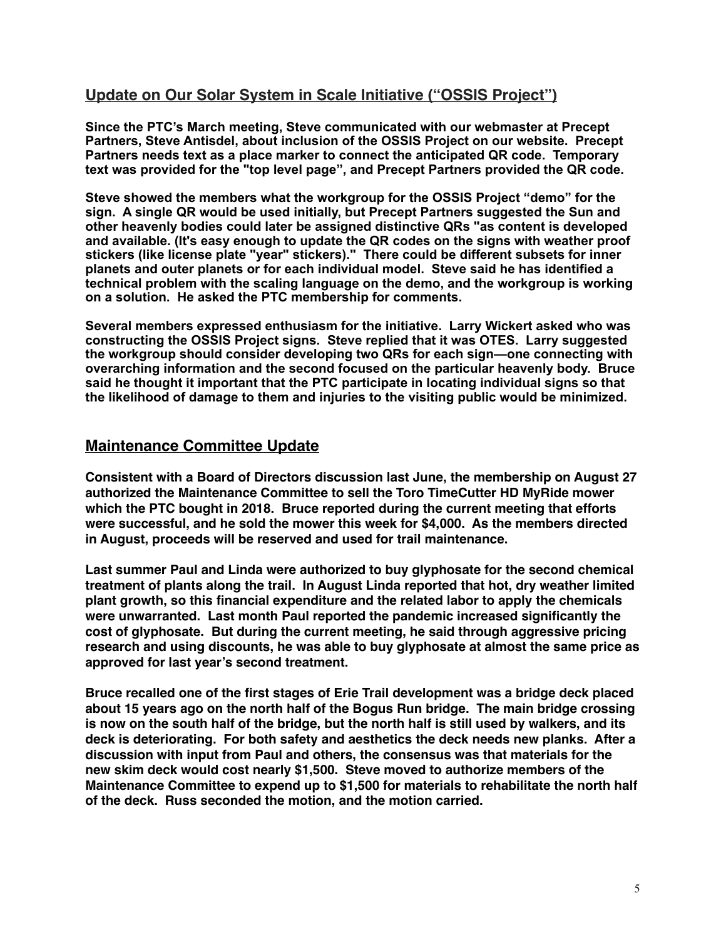## **Update on Our Solar System in Scale Initiative ("OSSIS Project")**

**Since the PTC's March meeting, Steve communicated with our webmaster at Precept Partners, Steve Antisdel, about inclusion of the OSSIS Project on our website. Precept Partners needs text as a place marker to connect the anticipated QR code. Temporary text was provided for the "top level page", and Precept Partners provided the QR code.** 

**Steve showed the members what the workgroup for the OSSIS Project "demo" for the sign. A single QR would be used initially, but Precept Partners suggested the Sun and other heavenly bodies could later be assigned distinctive QRs "as content is developed and available. (It's easy enough to update the QR codes on the signs with weather proof stickers (like license plate "year" stickers)." There could be different subsets for inner planets and outer planets or for each individual model. Steve said he has identified a technical problem with the scaling language on the demo, and the workgroup is working on a solution. He asked the PTC membership for comments.** 

**Several members expressed enthusiasm for the initiative. Larry Wickert asked who was constructing the OSSIS Project signs. Steve replied that it was OTES. Larry suggested the workgroup should consider developing two QRs for each sign—one connecting with overarching information and the second focused on the particular heavenly body. Bruce said he thought it important that the PTC participate in locating individual signs so that the likelihood of damage to them and injuries to the visiting public would be minimized.** 

#### **Maintenance Committee Update**

**Consistent with a Board of Directors discussion last June, the membership on August 27 authorized the Maintenance Committee to sell the Toro TimeCutter HD MyRide mower which the PTC bought in 2018. Bruce reported during the current meeting that efforts were successful, and he sold the mower this week for \$4,000. As the members directed in August, proceeds will be reserved and used for trail maintenance.**

**Last summer Paul and Linda were authorized to buy glyphosate for the second chemical treatment of plants along the trail. In August Linda reported that hot, dry weather limited plant growth, so this financial expenditure and the related labor to apply the chemicals were unwarranted. Last month Paul reported the pandemic increased significantly the cost of glyphosate. But during the current meeting, he said through aggressive pricing research and using discounts, he was able to buy glyphosate at almost the same price as approved for last year's second treatment.**

**Bruce recalled one of the first stages of Erie Trail development was a bridge deck placed about 15 years ago on the north half of the Bogus Run bridge. The main bridge crossing is now on the south half of the bridge, but the north half is still used by walkers, and its deck is deteriorating. For both safety and aesthetics the deck needs new planks. After a discussion with input from Paul and others, the consensus was that materials for the new skim deck would cost nearly \$1,500. Steve moved to authorize members of the Maintenance Committee to expend up to \$1,500 for materials to rehabilitate the north half of the deck. Russ seconded the motion, and the motion carried.**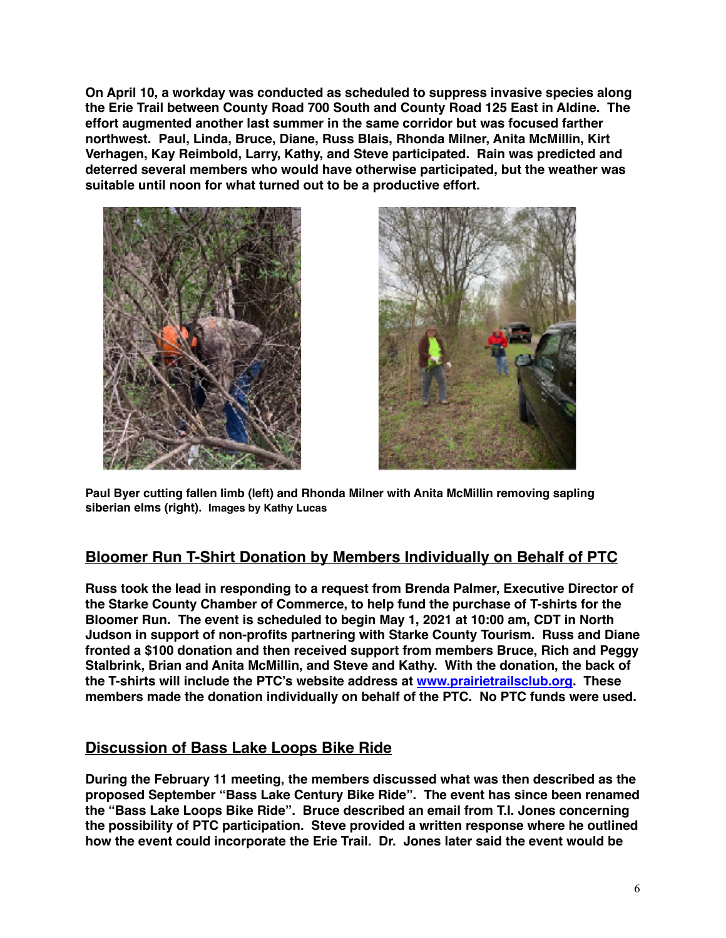**On April 10, a workday was conducted as scheduled to suppress invasive species along the Erie Trail between County Road 700 South and County Road 125 East in Aldine. The effort augmented another last summer in the same corridor but was focused farther northwest. Paul, Linda, Bruce, Diane, Russ Blais, Rhonda Milner, Anita McMillin, Kirt Verhagen, Kay Reimbold, Larry, Kathy, and Steve participated. Rain was predicted and deterred several members who would have otherwise participated, but the weather was suitable until noon for what turned out to be a productive effort.**





**Paul Byer cutting fallen limb (left) and Rhonda Milner with Anita McMillin removing sapling siberian elms (right). Images by Kathy Lucas**

## **Bloomer Run T-Shirt Donation by Members Individually on Behalf of PTC**

**Russ took the lead in responding to a request from Brenda Palmer, Executive Director of the Starke County Chamber of Commerce, to help fund the purchase of T-shirts for the Bloomer Run. The event is scheduled to begin May 1, 2021 at 10:00 am, CDT in North Judson in support of non-profits partnering with Starke County Tourism. Russ and Diane fronted a \$100 donation and then received support from members Bruce, Rich and Peggy Stalbrink, Brian and Anita McMillin, and Steve and Kathy. With the donation, the back of the T-shirts will include the PTC's website address at [www.prairietrailsclub.org](http://www.prairietrailsclub.org). These members made the donation individually on behalf of the PTC. No PTC funds were used.**

## **Discussion of Bass Lake Loops Bike Ride**

**During the February 11 meeting, the members discussed what was then described as the proposed September "Bass Lake Century Bike Ride". The event has since been renamed the "Bass Lake Loops Bike Ride". Bruce described an email from T.I. Jones concerning the possibility of PTC participation. Steve provided a written response where he outlined how the event could incorporate the Erie Trail. Dr. Jones later said the event would be**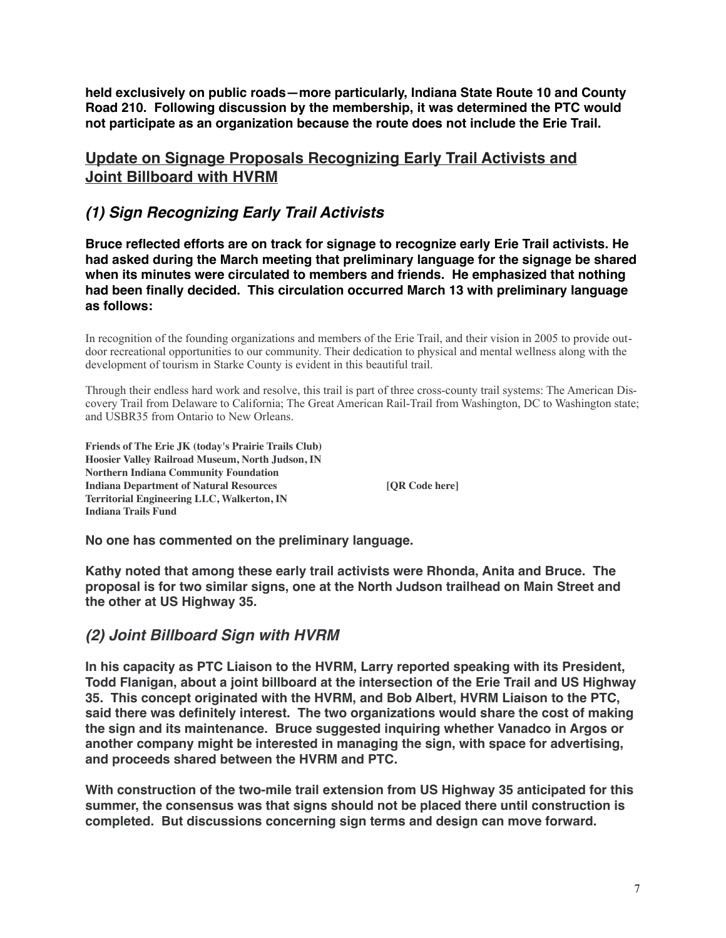**held exclusively on public roads—more particularly, Indiana State Route 10 and County Road 210. Following discussion by the membership, it was determined the PTC would not participate as an organization because the route does not include the Erie Trail.**

## **Update on Signage Proposals Recognizing Early Trail Activists and Joint Billboard with HVRM**

## *(1) Sign Recognizing Early Trail Activists*

**Bruce reflected efforts are on track for signage to recognize early Erie Trail activists. He had asked during the March meeting that preliminary language for the signage be shared when its minutes were circulated to members and friends. He emphasized that nothing had been finally decided. This circulation occurred March 13 with preliminary language as follows:**

In recognition of the founding organizations and members of the Erie Trail, and their vision in 2005 to provide outdoor recreational opportunities to our community. Their dedication to physical and mental wellness along with the development of tourism in Starke County is evident in this beautiful trail.

Through their endless hard work and resolve, this trail is part of three cross-county trail systems: The American Discovery Trail from Delaware to California; The Great American Rail-Trail from Washington, DC to Washington state; and USBR35 from Ontario to New Orleans.

**Friends of The Erie JK (today's Prairie Trails Club) Hoosier Valley Railroad Museum, North Judson, IN Northern Indiana Community Foundation Indiana Department of Natural Resources [QR Code here] Territorial Engineering LLC, Walkerton, IN Indiana Trails Fund**

**No one has commented on the preliminary language.**

**Kathy noted that among these early trail activists were Rhonda, Anita and Bruce. The proposal is for two similar signs, one at the North Judson trailhead on Main Street and the other at US Highway 35.**

## *(2) Joint Billboard Sign with HVRM*

**In his capacity as PTC Liaison to the HVRM, Larry reported speaking with its President, Todd Flanigan, about a joint billboard at the intersection of the Erie Trail and US Highway 35. This concept originated with the HVRM, and Bob Albert, HVRM Liaison to the PTC, said there was definitely interest. The two organizations would share the cost of making the sign and its maintenance. Bruce suggested inquiring whether Vanadco in Argos or another company might be interested in managing the sign, with space for advertising, and proceeds shared between the HVRM and PTC.**

**With construction of the two-mile trail extension from US Highway 35 anticipated for this summer, the consensus was that signs should not be placed there until construction is completed. But discussions concerning sign terms and design can move forward.**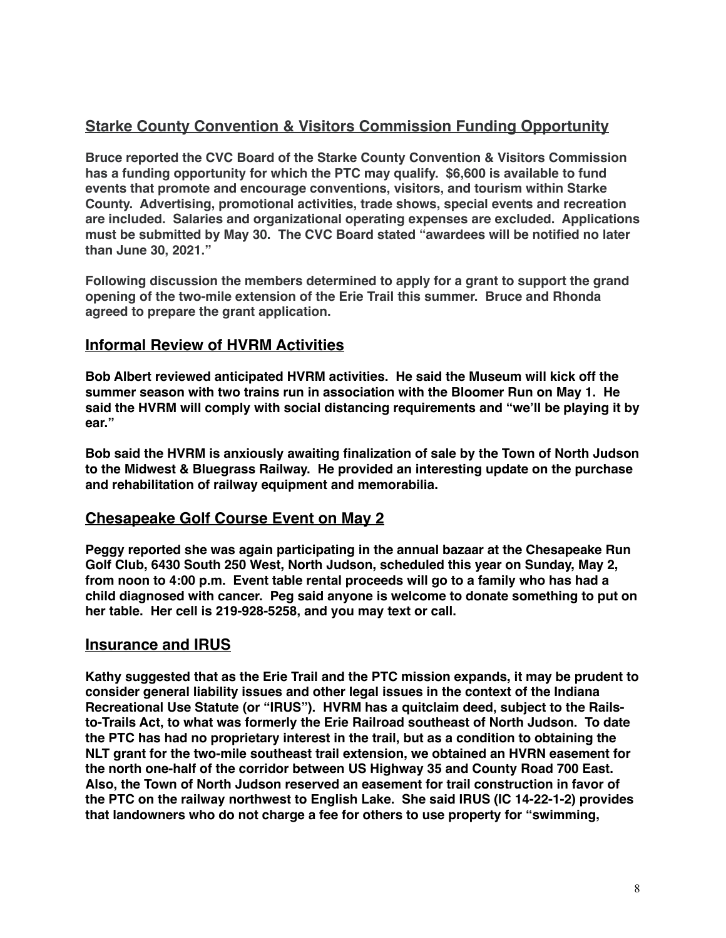## **Starke County Convention & Visitors Commission Funding Opportunity**

**Bruce reported the CVC Board of the Starke County Convention & Visitors Commission has a funding opportunity for which the PTC may qualify. \$6,600 is available to fund events that promote and encourage conventions, visitors, and tourism within Starke County. Advertising, promotional activities, trade shows, special events and recreation are included. Salaries and organizational operating expenses are excluded. Applications must be submitted by May 30. The CVC Board stated "awardees will be notified no later than June 30, 2021."**

**Following discussion the members determined to apply for a grant to support the grand opening of the two-mile extension of the Erie Trail this summer. Bruce and Rhonda agreed to prepare the grant application.**

## **Informal Review of HVRM Activities**

**Bob Albert reviewed anticipated HVRM activities. He said the Museum will kick off the summer season with two trains run in association with the Bloomer Run on May 1. He said the HVRM will comply with social distancing requirements and "we'll be playing it by ear."** 

**Bob said the HVRM is anxiously awaiting finalization of sale by the Town of North Judson to the Midwest & Bluegrass Railway. He provided an interesting update on the purchase and rehabilitation of railway equipment and memorabilia.**

## **Chesapeake Golf Course Event on May 2**

**Peggy reported she was again participating in the annual bazaar at the Chesapeake Run Golf Club, 6430 South 250 West, North Judson, scheduled this year on Sunday, May 2, from noon to 4:00 p.m. Event table rental proceeds will go to a family who has had a child diagnosed with cancer. Peg said anyone is welcome to donate something to put on her table. Her cell is 219-928-5258, and you may text or call.**

#### **Insurance and IRUS**

**Kathy suggested that as the Erie Trail and the PTC mission expands, it may be prudent to consider general liability issues and other legal issues in the context of the Indiana Recreational Use Statute (or "IRUS"). HVRM has a quitclaim deed, subject to the Railsto-Trails Act, to what was formerly the Erie Railroad southeast of North Judson. To date the PTC has had no proprietary interest in the trail, but as a condition to obtaining the NLT grant for the two-mile southeast trail extension, we obtained an HVRN easement for the north one-half of the corridor between US Highway 35 and County Road 700 East. Also, the Town of North Judson reserved an easement for trail construction in favor of the PTC on the railway northwest to English Lake. She said IRUS (IC 14-22-1-2) provides that landowners who do not charge a fee for others to use property for "swimming,**